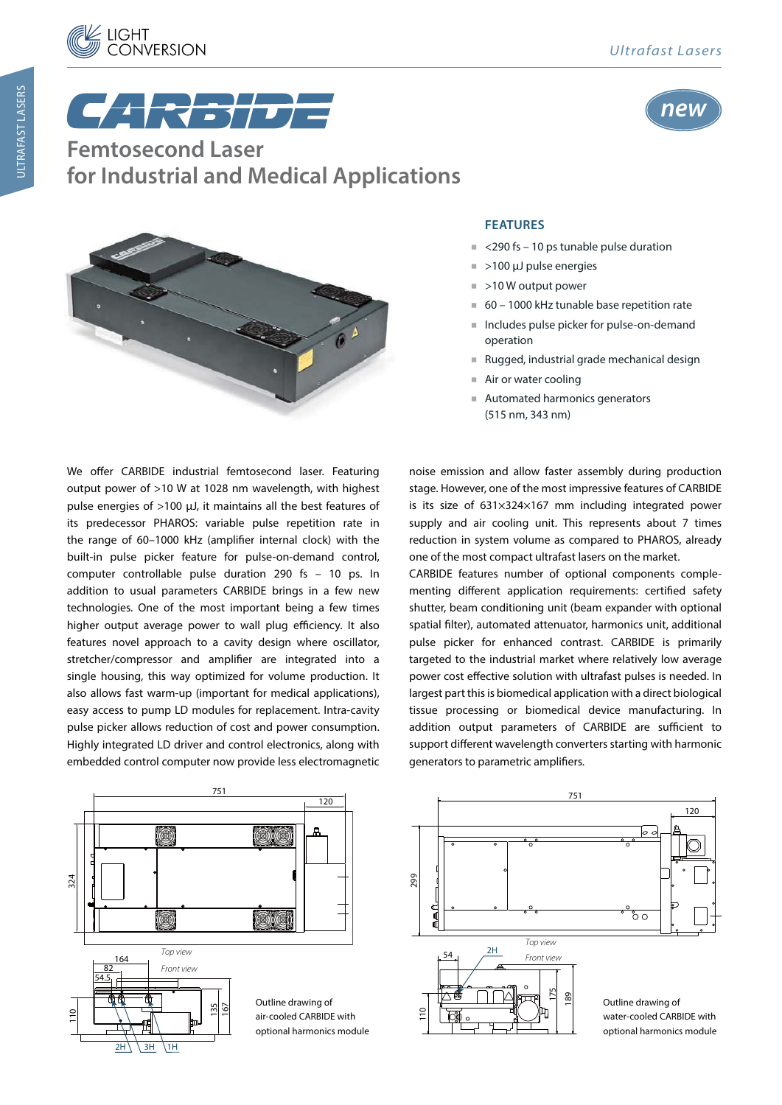



CAR<del>RI</del> **Femtosecond Laser for Industrial and Medical Applications**



## **FEATURES**

- <290 fs 10 ps tunable pulse duration
- $\approx$  >100  $\mu$ J pulse energies
- >10 W output power
- 60 1000 kHz tunable base repetition rate
- - Includes pulse picker for pulse-on-demand operation
- Rugged, industrial grade mechanical design
- Air or water cooling
- - Automated harmonics generators (515 nm, 343 nm)

We offer CARBIDE industrial femtosecond laser. Featuring output power of >10 W at 1028 nm wavelength, with highest pulse energies of >100 μJ, it maintains all the best features of its predecessor PHAROS: variable pulse repetition rate in the range of 60–1000 kHz (amplifier internal clock) with the built-in pulse picker feature for pulse-on-demand control, computer controllable pulse duration 290 fs  $-$  10 ps. In addition to usual parameters CARBIDE brings in a few new technologies. One of the most important being a few times higher output average power to wall plug efficiency. It also features novel approach to a cavity design where oscillator, stretcher/compressor and amplifier are integrated into a single housing, this way optimized for volume production. It also allows fast warm-up (important for medical applications), easy access to pump LD modules for replacement. Intra-cavity pulse picker allows reduction of cost and power consumption. Highly integrated LD driver and control electronics, along with embedded control computer now provide less electromagnetic

noise emission and allow faster assembly during production stage. However, one of the most impressive features of CARBIDE is its size of 631×324×167 mm including integrated power supply and air cooling unit. This represents about 7 times reduction in system volume as compared to PHAROS, already one of the most compact ultrafast lasers on the market.

CARBIDE features number of optional components complementing different application requirements: certified safety shutter, beam conditioning unit (beam expander with optional spatial filter), automated attenuator, harmonics unit, additional pulse picker for enhanced contrast. CARBIDE is primarily targeted to the industrial market where relatively low average power cost effective solution with ultrafast pulses is needed. In largest part this is biomedical application with a direct biological tissue processing or biomedical device manufacturing. In addition output parameters of CARBIDE are sufficient to support different wavelength converters starting with harmonic generators to parametric amplifiers.



751